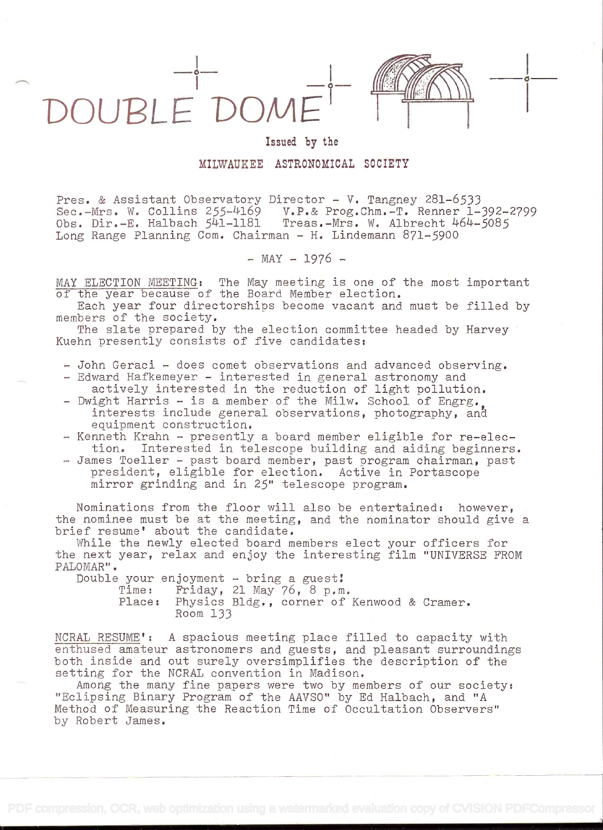

## Issued by the

in the company of the company of

## MILWAUKEE ASTRONOMICAL SOCIETY

Pres. & Assistant Observatory Director - V. Tangney 281-6533 Sec.-Mrs. W. Collins 255-4169 V.P.& Prog.Chm.-T. Renner 1-392-2799 Obs. Dir.-E. Halbach 541-1181 Treas.-Mrs. W. Albrecht 464-5085 Long Range Planning Com. Chairman - H. Lindemann 871-5900

 $-$  MAY  $-$  1976  $-$ 

MAY ELECTION MEETING: The May meeting is one of the most important of the year because of the Board Member election.

Each year four directorships become vacant and must be filled by members of the society.

The slate prepared by the election committee headed by Harvey Kuehn presently consists of five candidates:

- John Geraci does comet observations and advanced observing.
- Edward Hafkemeyer interested in general astronomy and
- actively interested in the reduction of light pollution. Dwight Harris - is a member of the Milw. School of Engrg., interests include general observations, photography, and equipment construction.
- Kenneth Krahn presently a board member eligible for re-election. Interested in telescope building and aiding beginners.
- James Toeller past board member, past program chairman, past president, eligible for election. Active in Portascope mirror grinding and in 25" telescope program.

Nominations from the floor will also be entertained: however, the nominee must be at the meeting, and the nominator should give a brief resume' about the candidate.

While the newly elected board members elect your officers for the next year, relax and enjoy the interesting film "UNIVERSE FROM PALOMAR".

Double your enjoyment - bring a guest

Time: Friday, 21 May 76, 8 p.m.

Place: Physics Bldg., corner of Kenwood & Cramer. Room 133

NCRAL RESUME': A spacious meeting place filled to capacity with enthused amateur astronomers and guests, and pleasant surroundings both inside and out surely oversimplifies the description of the setting for the NCRAL convention in Madison.

Among the many fine papers were two by members of our society: "Eclipsing Binary Program of the AAVSO" by Ed Halbach, and "A Method of Measuring the Reaction Time of Occultation Observers" by Robert James.